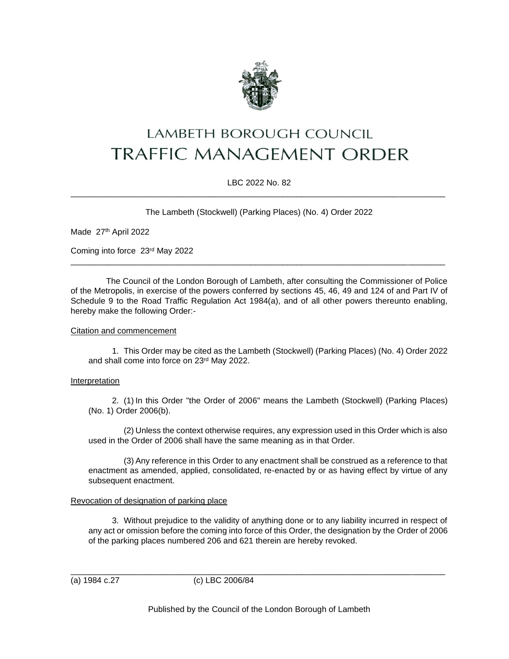

# LAMBETH BOROUGH COUNCIL **TRAFFIC MANAGEMENT ORDER**

## LBC 2022 No. 82 \_\_\_\_\_\_\_\_\_\_\_\_\_\_\_\_\_\_\_\_\_\_\_\_\_\_\_\_\_\_\_\_\_\_\_\_\_\_\_\_\_\_\_\_\_\_\_\_\_\_\_\_\_\_\_\_\_\_\_\_\_\_\_\_\_\_\_\_\_\_\_\_\_\_\_\_\_\_\_\_\_

The Lambeth (Stockwell) (Parking Places) (No. 4) Order 2022

Made 27th April 2022

Coming into force 23rd May 2022

The Council of the London Borough of Lambeth, after consulting the Commissioner of Police of the Metropolis, in exercise of the powers conferred by sections 45, 46, 49 and 124 of and Part IV of Schedule 9 to the Road Traffic Regulation Act 1984(a), and of all other powers thereunto enabling, hereby make the following Order:-

\_\_\_\_\_\_\_\_\_\_\_\_\_\_\_\_\_\_\_\_\_\_\_\_\_\_\_\_\_\_\_\_\_\_\_\_\_\_\_\_\_\_\_\_\_\_\_\_\_\_\_\_\_\_\_\_\_\_\_\_\_\_\_\_\_\_\_\_\_\_\_\_\_\_\_\_\_\_\_\_\_

### Citation and commencement

1. This Order may be cited as the Lambeth (Stockwell) (Parking Places) (No. 4) Order 2022 and shall come into force on 23rd May 2022.

### Interpretation

2. (1) In this Order "the Order of 2006" means the Lambeth (Stockwell) (Parking Places) (No. 1) Order 2006(b).

(2) Unless the context otherwise requires, any expression used in this Order which is also used in the Order of 2006 shall have the same meaning as in that Order.

(3) Any reference in this Order to any enactment shall be construed as a reference to that enactment as amended, applied, consolidated, re-enacted by or as having effect by virtue of any subsequent enactment.

### Revocation of designation of parking place

3. Without prejudice to the validity of anything done or to any liability incurred in respect of any act or omission before the coming into force of this Order, the designation by the Order of 2006 of the parking places numbered 206 and 621 therein are hereby revoked.

(a) 1984 c.27 (c) LBC 2006/84

Published by the Council of the London Borough of Lambeth

\_\_\_\_\_\_\_\_\_\_\_\_\_\_\_\_\_\_\_\_\_\_\_\_\_\_\_\_\_\_\_\_\_\_\_\_\_\_\_\_\_\_\_\_\_\_\_\_\_\_\_\_\_\_\_\_\_\_\_\_\_\_\_\_\_\_\_\_\_\_\_\_\_\_\_\_\_\_\_\_\_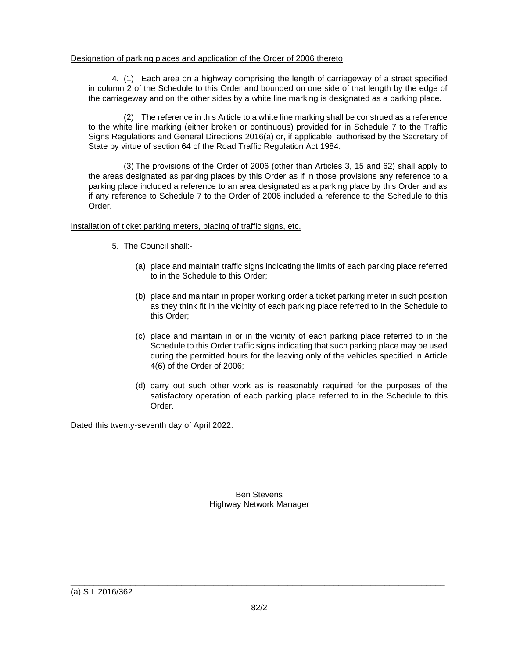## Designation of parking places and application of the Order of 2006 thereto

4. (1) Each area on a highway comprising the length of carriageway of a street specified in column 2 of the Schedule to this Order and bounded on one side of that length by the edge of the carriageway and on the other sides by a white line marking is designated as a parking place.

(2) The reference in this Article to a white line marking shall be construed as a reference to the white line marking (either broken or continuous) provided for in Schedule 7 to the Traffic Signs Regulations and General Directions 2016(a) or, if applicable, authorised by the Secretary of State by virtue of section 64 of the Road Traffic Regulation Act 1984.

(3) The provisions of the Order of 2006 (other than Articles 3, 15 and 62) shall apply to the areas designated as parking places by this Order as if in those provisions any reference to a parking place included a reference to an area designated as a parking place by this Order and as if any reference to Schedule 7 to the Order of 2006 included a reference to the Schedule to this Order.

## Installation of ticket parking meters, placing of traffic signs, etc.

- 5. The Council shall:-
	- (a) place and maintain traffic signs indicating the limits of each parking place referred to in the Schedule to this Order;
	- (b) place and maintain in proper working order a ticket parking meter in such position as they think fit in the vicinity of each parking place referred to in the Schedule to this Order;
	- (c) place and maintain in or in the vicinity of each parking place referred to in the Schedule to this Order traffic signs indicating that such parking place may be used during the permitted hours for the leaving only of the vehicles specified in Article 4(6) of the Order of 2006;
	- (d) carry out such other work as is reasonably required for the purposes of the satisfactory operation of each parking place referred to in the Schedule to this Order.

Dated this twenty-seventh day of April 2022.

Ben Stevens Highway Network Manager

\_\_\_\_\_\_\_\_\_\_\_\_\_\_\_\_\_\_\_\_\_\_\_\_\_\_\_\_\_\_\_\_\_\_\_\_\_\_\_\_\_\_\_\_\_\_\_\_\_\_\_\_\_\_\_\_\_\_\_\_\_\_\_\_\_\_\_\_\_\_\_\_\_\_\_\_\_\_\_\_\_